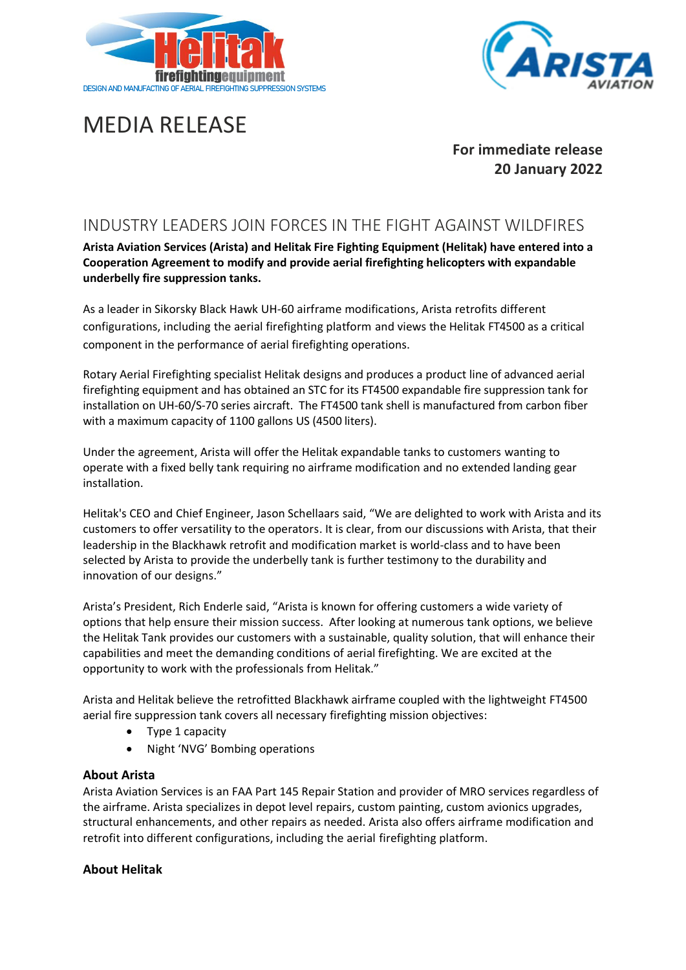



# MEDIA RELEASE

**For immediate release 20 January 2022** 

## INDUSTRY LEADERS JOIN FORCES IN THE FIGHT AGAINST WILDFIRES

**Arista Aviation Services (Arista) and Helitak Fire Fighting Equipment (Helitak) have entered into a Cooperation Agreement to modify and provide aerial firefighting helicopters with expandable underbelly fire suppression tanks.** 

As a leader in Sikorsky Black Hawk UH-60 airframe modifications, Arista retrofits different configurations, including the aerial firefighting platform and views the Helitak FT4500 as a critical component in the performance of aerial firefighting operations.

Rotary Aerial Firefighting specialist Helitak designs and produces a product line of advanced aerial firefighting equipment and has obtained an STC for its FT4500 expandable fire suppression tank for installation on UH-60/S-70 series aircraft. The FT4500 tank shell is manufactured from carbon fiber with a maximum capacity of 1100 gallons US (4500 liters).

Under the agreement, Arista will offer the Helitak expandable tanks to customers wanting to operate with a fixed belly tank requiring no airframe modification and no extended landing gear installation.

Helitak's CEO and Chief Engineer, Jason Schellaars said, "We are delighted to work with Arista and its customers to offer versatility to the operators. It is clear, from our discussions with Arista, that their leadership in the Blackhawk retrofit and modification market is world-class and to have been selected by Arista to provide the underbelly tank is further testimony to the durability and innovation of our designs."

Arista's President, Rich Enderle said, "Arista is known for offering customers a wide variety of options that help ensure their mission success. After looking at numerous tank options, we believe the Helitak Tank provides our customers with a sustainable, quality solution, that will enhance their capabilities and meet the demanding conditions of aerial firefighting. We are excited at the opportunity to work with the professionals from Helitak."

Arista and Helitak believe the retrofitted Blackhawk airframe coupled with the lightweight FT4500 aerial fire suppression tank covers all necessary firefighting mission objectives:

- Type 1 capacity
- Night 'NVG' Bombing operations

### **About Arista**

Arista Aviation Services is an FAA Part 145 Repair Station and provider of MRO services regardless of the airframe. Arista specializes in depot level repairs, custom painting, custom avionics upgrades, structural enhancements, and other repairs as needed. Arista also offers airframe modification and retrofit into different configurations, including the aerial firefighting platform.

### **About Helitak**